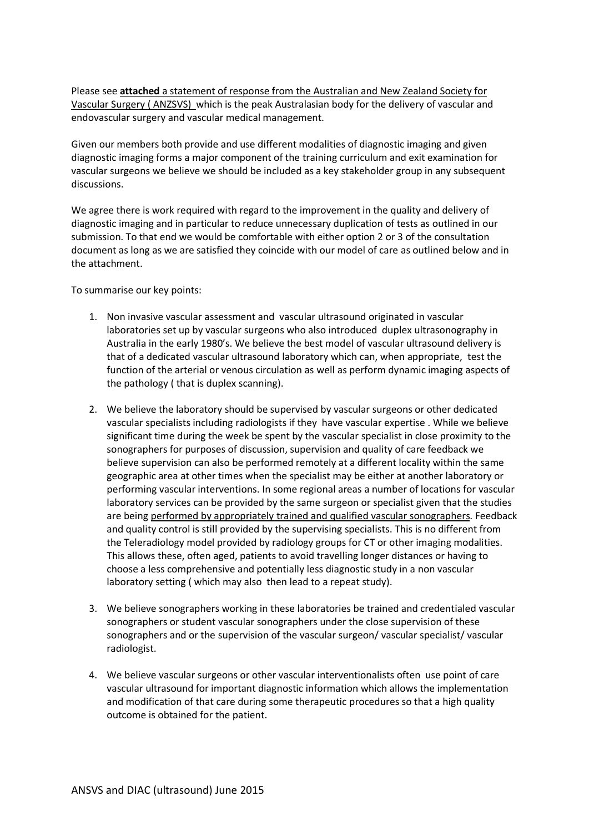Please see **attached** a statement of response from the Australian and New Zealand Society for Vascular Surgery ( ANZSVS) which is the peak Australasian body for the delivery of vascular and endovascular surgery and vascular medical management.

Given our members both provide and use different modalities of diagnostic imaging and given diagnostic imaging forms a major component of the training curriculum and exit examination for vascular surgeons we believe we should be included as a key stakeholder group in any subsequent discussions.

We agree there is work required with regard to the improvement in the quality and delivery of diagnostic imaging and in particular to reduce unnecessary duplication of tests as outlined in our submission. To that end we would be comfortable with either option 2 or 3 of the consultation document as long as we are satisfied they coincide with our model of care as outlined below and in the attachment.

To summarise our key points:

- 1. Non invasive vascular assessment and vascular ultrasound originated in vascular laboratories set up by vascular surgeons who also introduced duplex ultrasonography in Australia in the early 1980's. We believe the best model of vascular ultrasound delivery is that of a dedicated vascular ultrasound laboratory which can, when appropriate, test the function of the arterial or venous circulation as well as perform dynamic imaging aspects of the pathology ( that is duplex scanning).
- 2. We believe the laboratory should be supervised by vascular surgeons or other dedicated vascular specialists including radiologists if they have vascular expertise . While we believe significant time during the week be spent by the vascular specialist in close proximity to the sonographers for purposes of discussion, supervision and quality of care feedback we believe supervision can also be performed remotely at a different locality within the same geographic area at other times when the specialist may be either at another laboratory or performing vascular interventions. In some regional areas a number of locations for vascular laboratory services can be provided by the same surgeon or specialist given that the studies are being performed by appropriately trained and qualified vascular sonographers. Feedback and quality control is still provided by the supervising specialists. This is no different from the Teleradiology model provided by radiology groups for CT or other imaging modalities. This allows these, often aged, patients to avoid travelling longer distances or having to choose a less comprehensive and potentially less diagnostic study in a non vascular laboratory setting ( which may also then lead to a repeat study).
- 3. We believe sonographers working in these laboratories be trained and credentialed vascular sonographers or student vascular sonographers under the close supervision of these sonographers and or the supervision of the vascular surgeon/ vascular specialist/ vascular radiologist.
- 4. We believe vascular surgeons or other vascular interventionalists often use point of care vascular ultrasound for important diagnostic information which allows the implementation and modification of that care during some therapeutic procedures so that a high quality outcome is obtained for the patient.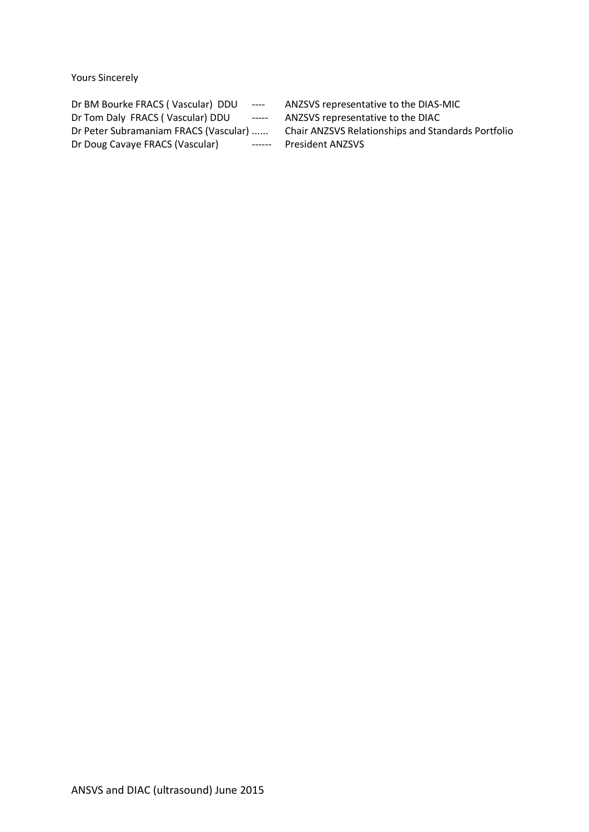Yours Sincerely

| Dr BM Bourke FRACS (Vascular) DDU     | $\cdots$ | ANZSVS represent         |
|---------------------------------------|----------|--------------------------|
| Dr Tom Daly FRACS (Vascular) DDU      | $---$    | ANZSVS represent         |
| Dr Peter Subramaniam FRACS (Vascular) |          | <b>Chair ANZSVS Rela</b> |
| Dr Doug Cavaye FRACS (Vascular)       | $------$ | <b>President ANZSVS</b>  |
|                                       |          |                          |

ANZSVS representative to the DIAS-MIC ANZSVS representative to the DIAC Chair ANZSVS Relationships and Standards Portfolio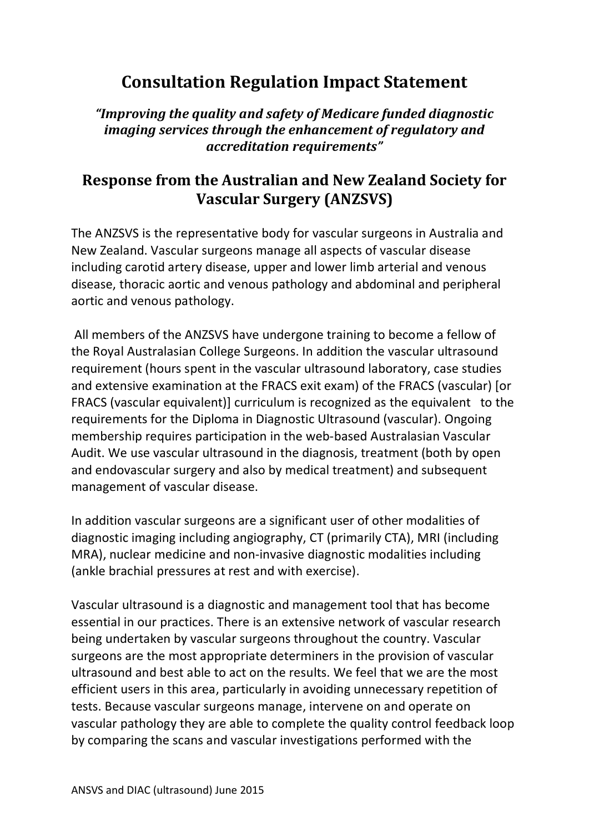## **Consultation Regulation Impact Statement**

*"Improving the quality and safety of Medicare funded diagnostic imaging services through the enhancement of regulatory and accreditation requirements"* 

## **Response from the Australian and New Zealand Society for Vascular Surgery (ANZSVS)**

The ANZSVS is the representative body for vascular surgeons in Australia and New Zealand. Vascular surgeons manage all aspects of vascular disease including carotid artery disease, upper and lower limb arterial and venous disease, thoracic aortic and venous pathology and abdominal and peripheral aortic and venous pathology.

 All members of the ANZSVS have undergone training to become a fellow of the Royal Australasian College Surgeons. In addition the vascular ultrasound requirement (hours spent in the vascular ultrasound laboratory, case studies and extensive examination at the FRACS exit exam) of the FRACS (vascular) [or FRACS (vascular equivalent)] curriculum is recognized as the equivalent to the requirements for the Diploma in Diagnostic Ultrasound (vascular). Ongoing membership requires participation in the web-based Australasian Vascular Audit. We use vascular ultrasound in the diagnosis, treatment (both by open and endovascular surgery and also by medical treatment) and subsequent management of vascular disease.

In addition vascular surgeons are a significant user of other modalities of diagnostic imaging including angiography, CT (primarily CTA), MRI (including MRA), nuclear medicine and non-invasive diagnostic modalities including (ankle brachial pressures at rest and with exercise).

Vascular ultrasound is a diagnostic and management tool that has become essential in our practices. There is an extensive network of vascular research being undertaken by vascular surgeons throughout the country. Vascular surgeons are the most appropriate determiners in the provision of vascular ultrasound and best able to act on the results. We feel that we are the most efficient users in this area, particularly in avoiding unnecessary repetition of tests. Because vascular surgeons manage, intervene on and operate on vascular pathology they are able to complete the quality control feedback loop by comparing the scans and vascular investigations performed with the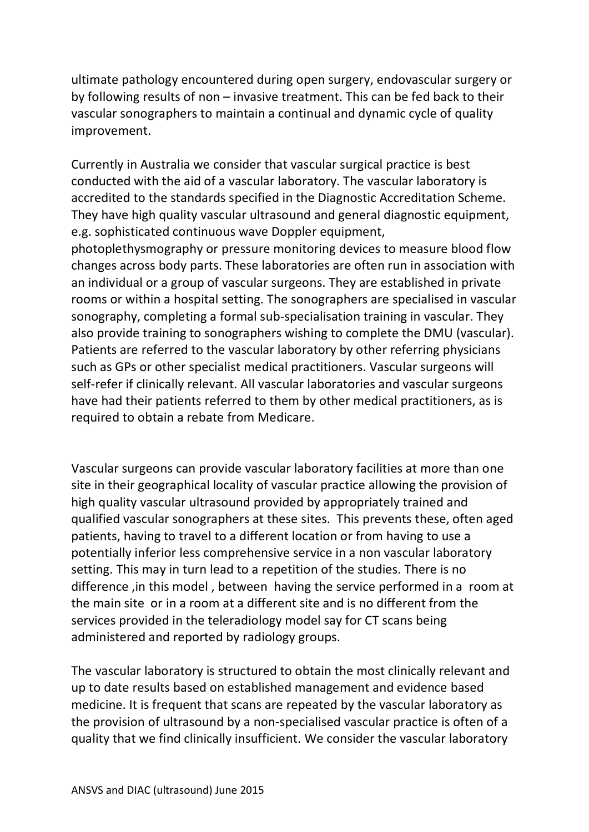ultimate pathology encountered during open surgery, endovascular surgery or by following results of non – invasive treatment. This can be fed back to their vascular sonographers to maintain a continual and dynamic cycle of quality improvement.

Currently in Australia we consider that vascular surgical practice is best conducted with the aid of a vascular laboratory. The vascular laboratory is accredited to the standards specified in the Diagnostic Accreditation Scheme. They have high quality vascular ultrasound and general diagnostic equipment, e.g. sophisticated continuous wave Doppler equipment,

photoplethysmography or pressure monitoring devices to measure blood flow changes across body parts. These laboratories are often run in association with an individual or a group of vascular surgeons. They are established in private rooms or within a hospital setting. The sonographers are specialised in vascular sonography, completing a formal sub-specialisation training in vascular. They also provide training to sonographers wishing to complete the DMU (vascular). Patients are referred to the vascular laboratory by other referring physicians such as GPs or other specialist medical practitioners. Vascular surgeons will self-refer if clinically relevant. All vascular laboratories and vascular surgeons have had their patients referred to them by other medical practitioners, as is required to obtain a rebate from Medicare.

Vascular surgeons can provide vascular laboratory facilities at more than one site in their geographical locality of vascular practice allowing the provision of high quality vascular ultrasound provided by appropriately trained and qualified vascular sonographers at these sites. This prevents these, often aged patients, having to travel to a different location or from having to use a potentially inferior less comprehensive service in a non vascular laboratory setting. This may in turn lead to a repetition of the studies. There is no difference ,in this model , between having the service performed in a room at the main site or in a room at a different site and is no different from the services provided in the teleradiology model say for CT scans being administered and reported by radiology groups.

The vascular laboratory is structured to obtain the most clinically relevant and up to date results based on established management and evidence based medicine. It is frequent that scans are repeated by the vascular laboratory as the provision of ultrasound by a non-specialised vascular practice is often of a quality that we find clinically insufficient. We consider the vascular laboratory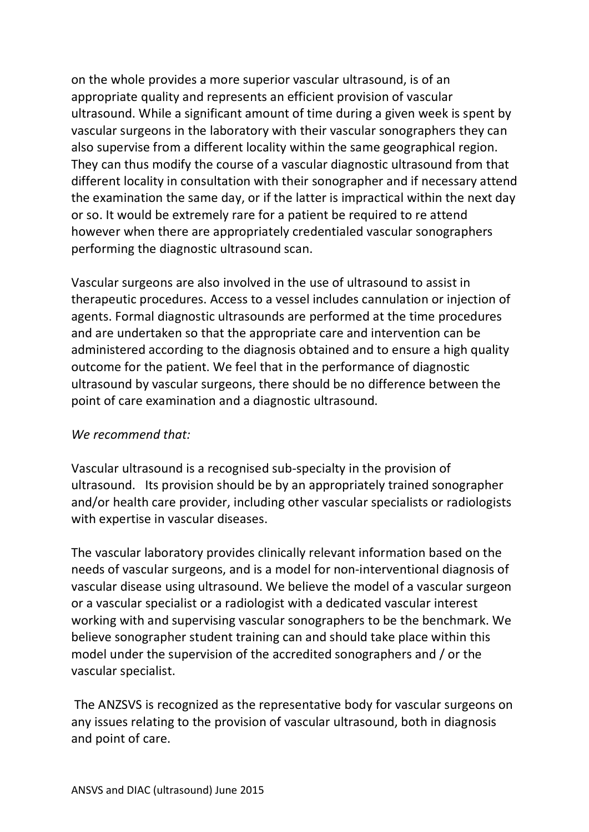on the whole provides a more superior vascular ultrasound, is of an appropriate quality and represents an efficient provision of vascular ultrasound. While a significant amount of time during a given week is spent by vascular surgeons in the laboratory with their vascular sonographers they can also supervise from a different locality within the same geographical region. They can thus modify the course of a vascular diagnostic ultrasound from that different locality in consultation with their sonographer and if necessary attend the examination the same day, or if the latter is impractical within the next day or so. It would be extremely rare for a patient be required to re attend however when there are appropriately credentialed vascular sonographers performing the diagnostic ultrasound scan.

Vascular surgeons are also involved in the use of ultrasound to assist in therapeutic procedures. Access to a vessel includes cannulation or injection of agents. Formal diagnostic ultrasounds are performed at the time procedures and are undertaken so that the appropriate care and intervention can be administered according to the diagnosis obtained and to ensure a high quality outcome for the patient. We feel that in the performance of diagnostic ultrasound by vascular surgeons, there should be no difference between the point of care examination and a diagnostic ultrasound.

## *We recommend that:*

Vascular ultrasound is a recognised sub-specialty in the provision of ultrasound. Its provision should be by an appropriately trained sonographer and/or health care provider, including other vascular specialists or radiologists with expertise in vascular diseases.

The vascular laboratory provides clinically relevant information based on the needs of vascular surgeons, and is a model for non-interventional diagnosis of vascular disease using ultrasound. We believe the model of a vascular surgeon or a vascular specialist or a radiologist with a dedicated vascular interest working with and supervising vascular sonographers to be the benchmark. We believe sonographer student training can and should take place within this model under the supervision of the accredited sonographers and / or the vascular specialist.

 The ANZSVS is recognized as the representative body for vascular surgeons on any issues relating to the provision of vascular ultrasound, both in diagnosis and point of care.